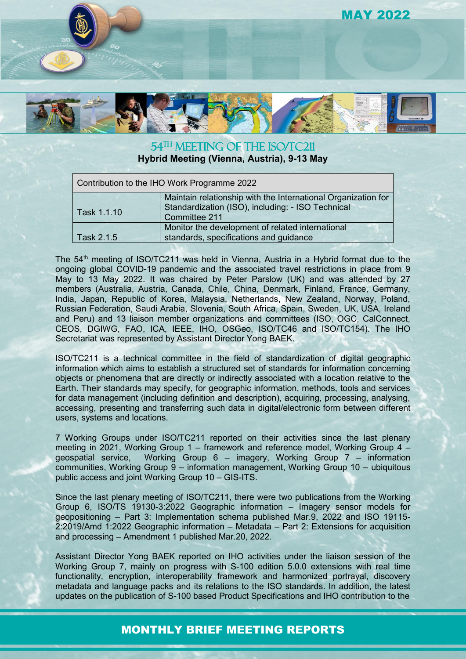

54<sup>TH</sup> MEETING OF THE ISO/TC211

**Hybrid Meeting (Vienna, Austria), 9-13 May**

| Contribution to the IHO Work Programme 2022 |                                                                                                                                     |
|---------------------------------------------|-------------------------------------------------------------------------------------------------------------------------------------|
| Task 1.1.10                                 | Maintain relationship with the International Organization for<br>Standardization (ISO), including: - ISO Technical<br>Committee 211 |
| Task 2.1.5                                  | Monitor the development of related international<br>standards, specifications and guidance                                          |

The 54th meeting of ISO/TC211 was held in Vienna, Austria in a Hybrid format due to the ongoing global COVID-19 pandemic and the associated travel restrictions in place from 9 May to 13 May 2022. It was chaired by Peter Parslow (UK) and was attended by 27 members (Australia, Austria, Canada, Chile, China, Denmark, Finland, France, Germany, India, Japan, Republic of Korea, Malaysia, Netherlands, New Zealand, Norway, Poland, Russian Federation, Saudi Arabia, Slovenia, South Africa, Spain, Sweden, UK, USA, Ireland and Peru) and 13 liaison member organizations and committees (ISO, OGC, CalConnect, CEOS, DGIWG, FAO, ICA, IEEE, IHO, OSGeo, ISO/TC46 and ISO/TC154). The IHO Secretariat was represented by Assistant Director Yong BAEK.

ISO/TC211 is a technical committee in the field of standardization of digital geographic information which aims to establish a structured set of standards for information concerning objects or phenomena that are directly or indirectly associated with a location relative to the Earth. Their standards may specify, for geographic information, methods, tools and services for data management (including definition and description), acquiring, processing, analysing, accessing, presenting and transferring such data in digital/electronic form between different users, systems and locations.

7 Working Groups under ISO/TC211 reported on their activities since the last plenary meeting in 2021, Working Group 1 – framework and reference model, Working Group 4 – geospatial service, Working Group 6 – imagery, Working Group 7 – information communities, Working Group 9 – information management, Working Group 10 – ubiquitous public access and joint Working Group 10 – GIS-ITS.

Since the last plenary meeting of ISO/TC211, there were two publications from the Working Group 6, ISO/TS 19130-3:2022 Geographic information – Imagery sensor models for geopositioning – Part 3: Implementation schema published Mar.9, 2022 and ISO 19115- 2:2019/Amd 1:2022 Geographic information – Metadata – Part 2: Extensions for acquisition and processing – Amendment 1 published Mar.20, 2022.

Assistant Director Yong BAEK reported on IHO activities under the liaison session of the Working Group 7, mainly on progress with S-100 edition 5.0.0 extensions with real time functionality, encryption, interoperability framework and harmonized portrayal, discovery metadata and language packs and its relations to the ISO standards. In addition, the latest updates on the publication of S-100 based Product Specifications and IHO contribution to the

## MONTHLY BRIEF MEETING REPORTS